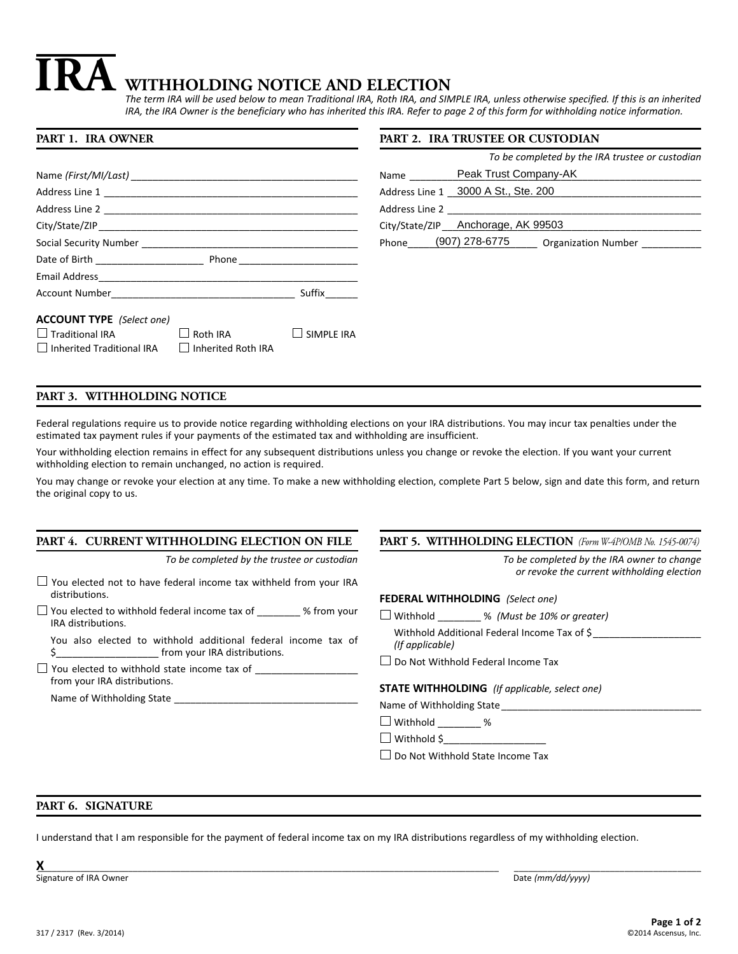# **WITHHOLDING NOTICE AND ELECTION IRA**

*The term IRA will be used below to mean Traditional IRA, Roth IRA, and SIMPLE IRA, unless otherwise specified. If this is an inherited IRA, the IRA Owner is the beneficiary who has inherited this IRA. Refer to page 2 of this form for withholding notice information.*

#### **PART 1. IRA OWNER** Name *(First/MI/Last)* Address Line 1 Address Line 2 **and 2** and 2 and 2 and 2 and 2 and 2 and 2 and 2 and 2 and 2 and 2 and 2 and 2 and 2 and 2 and 2 and 2 and 2 and 2 and 2 and 2 and 2 and 2 and 2 and 2 and 2 and 2 and 2 and 2 and 2 and 2 and 2 and 2 and 2 a City/State/ZIP Social Security Number \_\_\_\_\_\_\_\_\_\_\_\_\_\_\_\_\_\_\_\_\_\_\_\_\_\_\_\_\_\_\_\_\_\_\_\_\_\_\_\_ Date of Birth **Exercise 2018** Phone Email Address\_\_\_\_\_\_\_\_\_\_\_\_\_\_\_\_\_\_\_\_\_\_\_\_\_\_\_\_\_\_\_\_\_\_\_\_\_\_\_\_\_\_\_\_\_\_\_\_ Account Number\_\_\_\_\_\_\_\_\_\_\_\_\_\_\_\_\_\_\_\_\_\_\_\_\_\_\_\_\_\_\_\_\_\_ Suffix\_\_\_\_\_\_ **ACCOUNT TYPE** *(Select one)*  $\Box$  Traditional IRA  $\Box$  Roth IRA  $\Box$  SIMPLE IRA  $\Box$  Inherited Traditional IRA  $\Box$  Inherited Roth IRA **PART 2. IRA TRUSTEE OR CUSTODIAN** *To be completed by the IRA trustee or custodian* Name \_\_\_\_\_\_\_\_\_\_\_\_Peak Trust Company-AK Address Line 1 \_\_\_\_\_\_\_\_\_\_\_\_\_\_\_\_\_\_\_\_\_\_\_\_\_\_\_\_\_\_\_\_\_\_\_\_\_\_\_\_\_\_\_\_\_\_\_ 3000 A St., Ste. 200 Address Line 2 \_\_\_\_\_\_\_\_\_\_\_\_\_\_\_\_\_\_\_\_\_\_\_\_\_\_\_\_\_\_\_\_\_\_\_\_\_\_\_\_\_\_\_\_\_\_\_ City/State/ZIP\_\_\_\_\_\_\_\_\_\_\_\_\_\_\_\_\_\_\_\_\_\_\_\_\_\_\_\_\_\_\_\_\_\_\_\_\_\_\_\_\_\_\_\_\_\_\_\_ Anchorage, AK 99503 Phone\_\_\_\_\_\_(907) 278-6775 \_\_\_\_\_\_ Organization Number \_\_\_\_\_\_\_\_\_\_\_\_\_

# **PART 3. WITHHOLDING NOTICE**

Federal regulations require us to provide notice regarding withholding elections on your IRA distributions. You may incur tax penalties under the estimated tax payment rules if your payments of the estimated tax and withholding are insufficient.

Your withholding election remains in effect for any subsequent distributions unless you change or revoke the election. If you want your current withholding election to remain unchanged, no action is required.

You may change or revoke your election at any time. To make a new withholding election, complete Part 5 below, sign and date this form, and return the original copy to us.

## **PART 4. CURRENT WITHHOLDING ELECTION ON FILE**

*To be completed by the trustee or custodian*

- $\Box$  You elected not to have federal income tax withheld from your IRA distributions.
- $\Box$  You elected to withhold federal income tax of \_\_\_\_\_\_\_ % from your IRA distributions.

You also elected to withhold additional federal income tax of \$\_\_\_\_\_\_\_\_\_\_\_\_\_\_\_\_\_\_\_ from your IRA distributions.

 $\Box$  You elected to withhold state income tax of  $\Box$ from your IRA distributions.

Name of Withholding State

## **PART 5. WITHHOLDING ELECTION** *(Form W-4P/OMB No. 1545-0074)*

*To be completed by the IRA owner to change or revoke the current withholding election*

#### **FEDERAL WITHHOLDING** *(Select one)*

Withhold \_\_\_\_\_\_\_\_ % *(Must be 10% or greater)*

- Withhold Additional Federal Income Tax of \$ *(If applicable)*
- □ Do Not Withhold Federal Income Tax

#### **STATE WITHHOLDING** *(If applicable, select one)*

Name of Withholding State

 $\Box$  Withhold %

 $\Box$  Withhold \$

□ Do Not Withhold State Income Tax

## **PART 6. SIGNATURE**

I understand that I am responsible for the payment of federal income tax on my IRA distributions regardless of my withholding election.

**X**\_\_\_\_\_\_\_\_\_\_\_\_\_\_\_\_\_\_\_\_\_\_\_\_\_\_\_\_\_\_\_\_\_\_\_\_\_\_\_\_\_\_\_\_\_\_\_\_\_\_\_\_\_\_\_\_\_\_\_\_\_\_\_\_\_\_\_\_\_\_\_\_\_\_\_\_\_\_\_\_\_\_\_\_\_\_\_\_\_\_\_\_\_\_\_\_\_ \_\_\_\_\_\_\_\_\_\_\_\_\_\_\_\_\_\_\_\_\_\_\_\_\_\_\_\_\_\_\_\_\_\_\_\_\_\_\_

Signature of IRA Owner Date *(mm/dd/yyyy)* Date *(mm/dd/yyyy)*